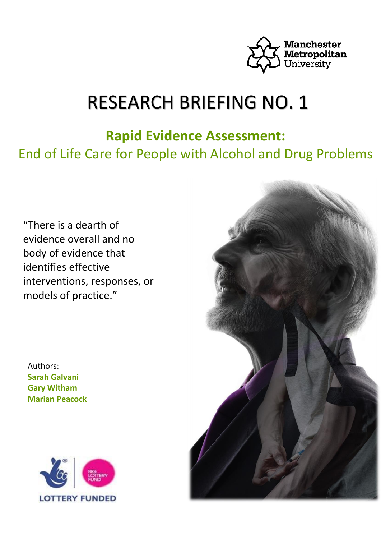

# RESEARCH BRIEFING NO. 1

## **Rapid Evidence Assessment:**

End of Life Care for People with Alcohol and Drug Problems

"There is a dearth of evidence overall and no body of evidence that identifies effective interventions, responses, or models of practice."

Authors: **Sarah Galvani Gary Witham Marian Peacock** 



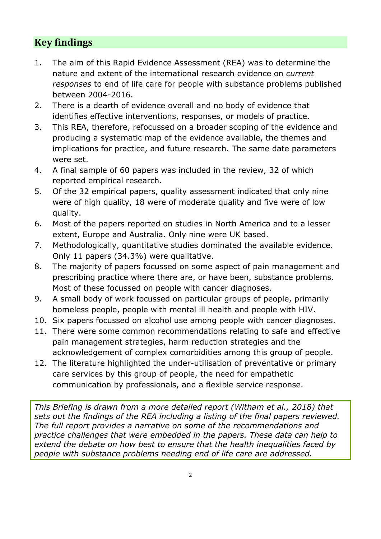## **Key findings**

- 1. The aim of this Rapid Evidence Assessment (REA) was to determine the nature and extent of the international research evidence on *current responses* to end of life care for people with substance problems published between 2004-2016.
- 2. There is a dearth of evidence overall and no body of evidence that identifies effective interventions, responses, or models of practice.
- 3. This REA, therefore, refocussed on a broader scoping of the evidence and producing a systematic map of the evidence available, the themes and implications for practice, and future research. The same date parameters were set.
- 4. A final sample of 60 papers was included in the review, 32 of which reported empirical research.
- 5. Of the 32 empirical papers, quality assessment indicated that only nine were of high quality, 18 were of moderate quality and five were of low quality.
- 6. Most of the papers reported on studies in North America and to a lesser extent, Europe and Australia. Only nine were UK based.
- 7. Methodologically, quantitative studies dominated the available evidence. Only 11 papers (34.3%) were qualitative.
- 8. The majority of papers focussed on some aspect of pain management and prescribing practice where there are, or have been, substance problems. Most of these focussed on people with cancer diagnoses.
- 9. A small body of work focussed on particular groups of people, primarily homeless people, people with mental ill health and people with HIV.
- 10. Six papers focussed on alcohol use among people with cancer diagnoses.
- 11. There were some common recommendations relating to safe and effective pain management strategies, harm reduction strategies and the acknowledgement of complex comorbidities among this group of people.
- 12. The literature highlighted the under-utilisation of preventative or primary care services by this group of people, the need for empathetic communication by professionals, and a flexible service response.

*This Briefing is drawn from a more detailed report (Witham et al., 2018) that sets out the findings of the REA including a listing of the final papers reviewed. The full report provides a narrative on some of the recommendations and practice challenges that were embedded in the papers. These data can help to extend the debate on how best to ensure that the health inequalities faced by people with substance problems needing end of life care are addressed.*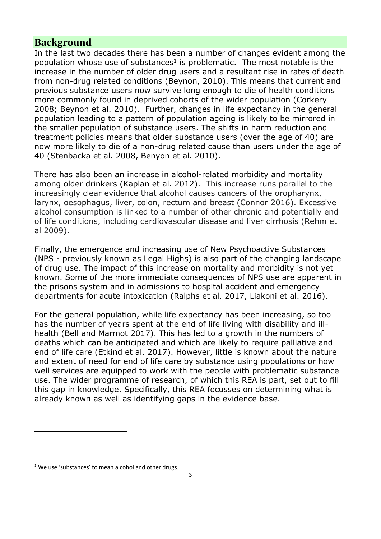## **Background**

In the last two decades there has been a number of changes evident among the population whose use of substances<sup>1</sup> is problematic. The most notable is the increase in the number of older drug users and a resultant rise in rates of death from non-drug related conditions (Beynon, 2010). This means that current and previous substance users now survive long enough to die of health conditions more commonly found in deprived cohorts of the wider population (Corkery 2008; Beynon et al. 2010). Further, changes in life expectancy in the general population leading to a pattern of population ageing is likely to be mirrored in the smaller population of substance users. The shifts in harm reduction and treatment policies means that older substance users (over the age of 40) are now more likely to die of a non-drug related cause than users under the age of 40 (Stenbacka et al. 2008, Benyon et al. 2010).

There has also been an increase in alcohol-related morbidity and mortality among older drinkers (Kaplan et al. 2012). This increase runs parallel to the increasingly clear evidence that alcohol causes cancers of the oropharynx, larynx, oesophagus, liver, colon, rectum and breast (Connor 2016). Excessive alcohol consumption is linked to a number of other chronic and potentially end of life conditions, including cardiovascular disease and liver cirrhosis (Rehm et al 2009).

Finally, the emergence and increasing use of New Psychoactive Substances (NPS - previously known as Legal Highs) is also part of the changing landscape of drug use. The impact of this increase on mortality and morbidity is not yet known. Some of the more immediate consequences of NPS use are apparent in the prisons system and in admissions to hospital accident and emergency departments for acute intoxication (Ralphs et al. 2017, Liakoni et al. 2016).

For the general population, while life expectancy has been increasing, so too has the number of years spent at the end of life living with disability and illhealth (Bell and Marmot 2017). This has led to a growth in the numbers of deaths which can be anticipated and which are likely to require palliative and end of life care (Etkind et al. 2017). However, little is known about the nature and extent of need for end of life care by substance using populations or how well services are equipped to work with the people with problematic substance use. The wider programme of research, of which this REA is part, set out to fill this gap in knowledge. Specifically, this REA focusses on determining what is already known as well as identifying gaps in the evidence base.

 $\overline{a}$ 

 $1$  We use 'substances' to mean alcohol and other drugs.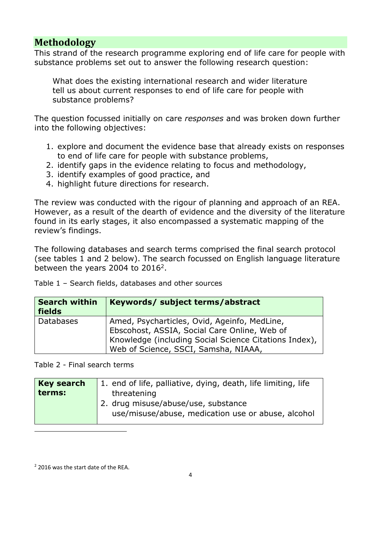## **Methodology**

This strand of the research programme exploring end of life care for people with substance problems set out to answer the following research question:

What does the existing international research and wider literature tell us about current responses to end of life care for people with substance problems?

The question focussed initially on care *responses* and was broken down further into the following objectives:

- 1. explore and document the evidence base that already exists on responses to end of life care for people with substance problems,
- 2. identify gaps in the evidence relating to focus and methodology,
- 3. identify examples of good practice, and
- 4. highlight future directions for research.

The review was conducted with the rigour of planning and approach of an REA. However, as a result of the dearth of evidence and the diversity of the literature found in its early stages, it also encompassed a systematic mapping of the review's findings.

The following databases and search terms comprised the final search protocol (see tables 1 and 2 below). The search focussed on English language literature between the years 2004 to  $2016^2$ .

Table 1 – Search fields, databases and other sources

| <b>Search within</b><br><b>fields</b> | Keywords/ subject terms/abstract                                                                                                                                                              |
|---------------------------------------|-----------------------------------------------------------------------------------------------------------------------------------------------------------------------------------------------|
| <b>Databases</b>                      | Amed, Psycharticles, Ovid, Ageinfo, MedLine,<br>Ebscohost, ASSIA, Social Care Online, Web of<br>Knowledge (including Social Science Citations Index),<br>Web of Science, SSCI, Samsha, NIAAA, |

Table 2 - Final search terms

| <b>Key search</b> | 1. end of life, palliative, dying, death, life limiting, life                             |  |  |
|-------------------|-------------------------------------------------------------------------------------------|--|--|
| terms:            | threatening                                                                               |  |  |
|                   | 2. drug misuse/abuse/use, substance<br>use/misuse/abuse, medication use or abuse, alcohol |  |  |
|                   |                                                                                           |  |  |

 $\overline{a}$ 

<sup>&</sup>lt;sup>2</sup> 2016 was the start date of the REA.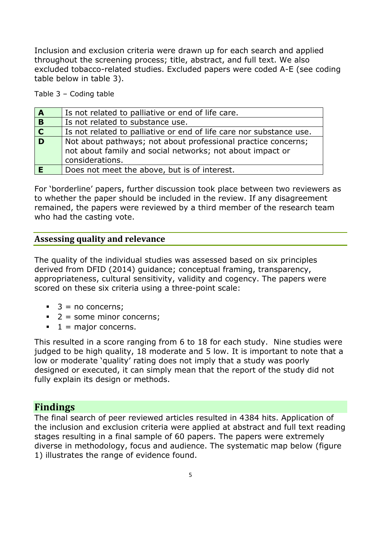Inclusion and exclusion criteria were drawn up for each search and applied throughout the screening process; title, abstract, and full text. We also excluded tobacco-related studies. Excluded papers were coded A-E (see coding table below in table 3).

Table 3 – Coding table

| $\mathbf{A}$            | Is not related to palliative or end of life care.                                                                                             |
|-------------------------|-----------------------------------------------------------------------------------------------------------------------------------------------|
| B                       | Is not related to substance use.                                                                                                              |
| $\overline{\mathbf{c}}$ | Is not related to palliative or end of life care nor substance use.                                                                           |
| D                       | Not about pathways; not about professional practice concerns;<br>not about family and social networks; not about impact or<br>considerations. |
|                         | Does not meet the above, but is of interest.                                                                                                  |

For 'borderline' papers, further discussion took place between two reviewers as to whether the paper should be included in the review. If any disagreement remained, the papers were reviewed by a third member of the research team who had the casting vote.

### **Assessing quality and relevance**

The quality of the individual studies was assessed based on six principles derived from DFID (2014) guidance; conceptual framing, transparency, appropriateness, cultural sensitivity, validity and cogency. The papers were scored on these six criteria using a three-point scale:

- $\blacksquare$  3 = no concerns;
- $\blacksquare$  2 = some minor concerns;
- $\blacksquare$  1 = major concerns.

This resulted in a score ranging from 6 to 18 for each study. Nine studies were judged to be high quality, 18 moderate and 5 low. It is important to note that a low or moderate 'quality' rating does not imply that a study was poorly designed or executed, it can simply mean that the report of the study did not fully explain its design or methods.

## **Findings**

The final search of peer reviewed articles resulted in 4384 hits. Application of the inclusion and exclusion criteria were applied at abstract and full text reading stages resulting in a final sample of 60 papers. The papers were extremely diverse in methodology, focus and audience. The systematic map below (figure 1) illustrates the range of evidence found.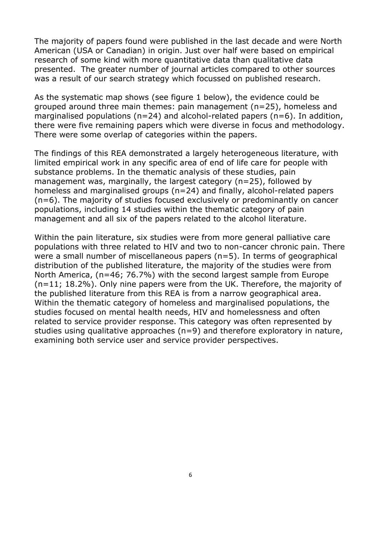The majority of papers found were published in the last decade and were North American (USA or Canadian) in origin. Just over half were based on empirical research of some kind with more quantitative data than qualitative data presented. The greater number of journal articles compared to other sources was a result of our search strategy which focussed on published research.

As the systematic map shows (see figure 1 below), the evidence could be grouped around three main themes: pain management (n=25), homeless and marginalised populations ( $n=24$ ) and alcohol-related papers ( $n=6$ ). In addition, there were five remaining papers which were diverse in focus and methodology. There were some overlap of categories within the papers.

The findings of this REA demonstrated a largely heterogeneous literature, with limited empirical work in any specific area of end of life care for people with substance problems. In the thematic analysis of these studies, pain management was, marginally, the largest category (n=25), followed by homeless and marginalised groups (n=24) and finally, alcohol-related papers (n=6). The majority of studies focused exclusively or predominantly on cancer populations, including 14 studies within the thematic category of pain management and all six of the papers related to the alcohol literature.

Within the pain literature, six studies were from more general palliative care populations with three related to HIV and two to non-cancer chronic pain. There were a small number of miscellaneous papers (n=5). In terms of geographical distribution of the published literature, the majority of the studies were from North America, (n=46; 76.7%) with the second largest sample from Europe (n=11; 18.2%). Only nine papers were from the UK. Therefore, the majority of the published literature from this REA is from a narrow geographical area. Within the thematic category of homeless and marginalised populations, the studies focused on mental health needs, HIV and homelessness and often related to service provider response. This category was often represented by studies using qualitative approaches (n=9) and therefore exploratory in nature, examining both service user and service provider perspectives.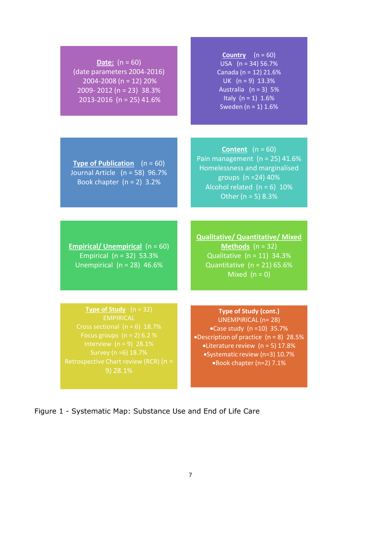| <b>Date:</b> $(n = 60)$<br>(date parameters 2004-2016)<br>2004-2008 (n = 12) 20%<br>2009-2012 (n = 23) 38.3%<br>2013-2016 (n = 25) 41.6%                                                                                 | <b>Country</b> $(n = 60)$<br>USA $(n = 34) 56.7%$<br>Canada (n = 12) 21.6%<br>UK $(n = 9)$ 13.3%<br>Australia $(n = 3)$ 5%<br>Italy $(n = 1) 1.6%$<br>Sweden ( $n = 1$ ) 1.6%                                                         |
|--------------------------------------------------------------------------------------------------------------------------------------------------------------------------------------------------------------------------|---------------------------------------------------------------------------------------------------------------------------------------------------------------------------------------------------------------------------------------|
|                                                                                                                                                                                                                          |                                                                                                                                                                                                                                       |
| <b>Type of Publication</b> $(n = 60)$<br>Journal Article (n = 58) 96.7%<br>Book chapter $(n = 2)$ 3.2%                                                                                                                   | <b>Content</b> $(n = 60)$<br>Pain management $(n = 25)$ 41.6%<br>Homelessness and marginalised<br>groups (n = 24) 40%<br>Alcohol related $(n = 6)$ 10%<br>Other ( $n = 5$ ) 8.3%                                                      |
|                                                                                                                                                                                                                          |                                                                                                                                                                                                                                       |
| <b>Empirical/ Unempirical</b> $(n = 60)$<br>Empirical $(n = 32)$ 53.3%<br>Unempirical $(n = 28)$ 46.6%                                                                                                                   | <b>Qualitative/ Quantitative/ Mixed</b><br>Methods $(n = 32)$<br>Qualitative $(n = 11)$ 34.3%<br>Quantitative $(n = 21) 65.6%$<br>Mixed $(n = 0)$                                                                                     |
|                                                                                                                                                                                                                          |                                                                                                                                                                                                                                       |
| Type of Study $(n = 32)$<br><b>EMPIRICAL</b><br>Cross sectional $(n = 6)$ 18.7%<br>Focus groups $(n = 2)$ 6.2 %<br>Interview $(n = 9)$ 28.1%<br>Survey (n =6) 18.7%<br>Retrospective Chart review (RCR) (n =<br>9) 28.1% | <b>Type of Study (cont.)</b><br><b>UNEMPIRICAL (n=28)</b><br>•Case study $(n=10)$ 35.7%<br>•Description of practice $(n = 8)$ 28.5%<br>•Literature review (n = 5) 17.8%<br>•Systematic review (n=3) 10.7%<br>.Book chapter (n=2) 7.1% |

Figure 1 - Systematic Map: Substance Use and End of Life Care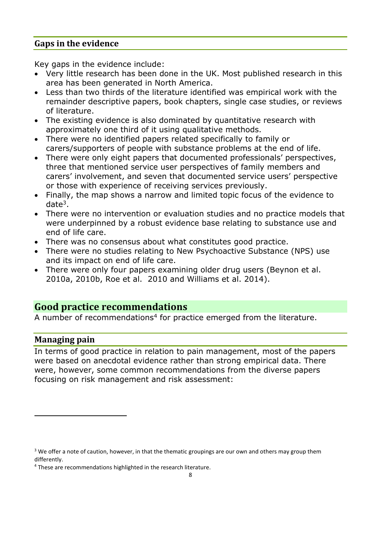### **Gaps in the evidence**

Key gaps in the evidence include:

- Very little research has been done in the UK. Most published research in this area has been generated in North America.
- Less than two thirds of the literature identified was empirical work with the remainder descriptive papers, book chapters, single case studies, or reviews of literature.
- The existing evidence is also dominated by quantitative research with approximately one third of it using qualitative methods.
- There were no identified papers related specifically to family or carers/supporters of people with substance problems at the end of life.
- There were only eight papers that documented professionals' perspectives, three that mentioned service user perspectives of family members and carers' involvement, and seven that documented service users' perspective or those with experience of receiving services previously.
- Finally, the map shows a narrow and limited topic focus of the evidence to date<sup>3</sup>.
- There were no intervention or evaluation studies and no practice models that were underpinned by a robust evidence base relating to substance use and end of life care.
- There was no consensus about what constitutes good practice.
- There were no studies relating to New Psychoactive Substance (NPS) use and its impact on end of life care.
- There were only four papers examining older drug users (Beynon et al. 2010a, 2010b, Roe et al. 2010 and Williams et al. 2014).

## **Good practice recommendations**

A number of recommendations<sup>4</sup> for practice emerged from the literature.

## **Managing pain**

 $\overline{a}$ 

In terms of good practice in relation to pain management, most of the papers were based on anecdotal evidence rather than strong empirical data. There were, however, some common recommendations from the diverse papers focusing on risk management and risk assessment:

<sup>&</sup>lt;sup>3</sup> We offer a note of caution, however, in that the thematic groupings are our own and others may group them differently.

<sup>4</sup> These are recommendations highlighted in the research literature.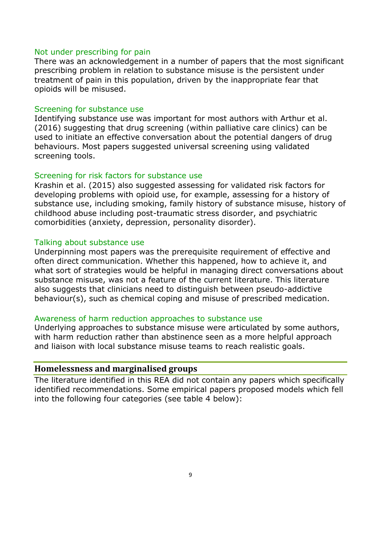#### Not under prescribing for pain

There was an acknowledgement in a number of papers that the most significant prescribing problem in relation to substance misuse is the persistent under treatment of pain in this population, driven by the inappropriate fear that opioids will be misused.

#### Screening for substance use

Identifying substance use was important for most authors with Arthur et al. (2016) suggesting that drug screening (within palliative care clinics) can be used to initiate an effective conversation about the potential dangers of drug behaviours. Most papers suggested universal screening using validated screening tools.

#### Screening for risk factors for substance use

Krashin et al. (2015) also suggested assessing for validated risk factors for developing problems with opioid use, for example, assessing for a history of substance use, including smoking, family history of substance misuse, history of childhood abuse including post-traumatic stress disorder, and psychiatric comorbidities (anxiety, depression, personality disorder).

#### Talking about substance use

Underpinning most papers was the prerequisite requirement of effective and often direct communication. Whether this happened, how to achieve it, and what sort of strategies would be helpful in managing direct conversations about substance misuse, was not a feature of the current literature. This literature also suggests that clinicians need to distinguish between pseudo-addictive behaviour(s), such as chemical coping and misuse of prescribed medication.

#### Awareness of harm reduction approaches to substance use

Underlying approaches to substance misuse were articulated by some authors, with harm reduction rather than abstinence seen as a more helpful approach and liaison with local substance misuse teams to reach realistic goals.

#### **Homelessness and marginalised groups**

The literature identified in this REA did not contain any papers which specifically identified recommendations. Some empirical papers proposed models which fell into the following four categories (see table 4 below):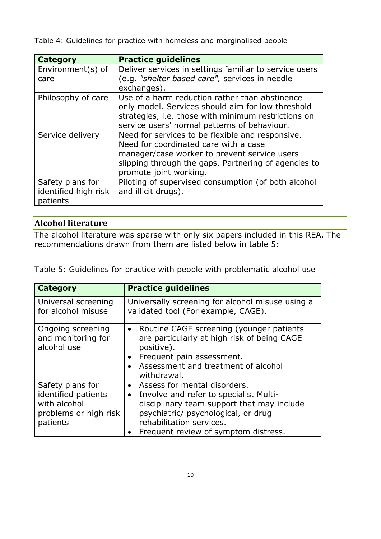Table 4: Guidelines for practice with homeless and marginalised people

| <b>Category</b>                                      | <b>Practice guidelines</b>                                                                                                                                                                                                  |
|------------------------------------------------------|-----------------------------------------------------------------------------------------------------------------------------------------------------------------------------------------------------------------------------|
| Environment(s) of<br>care                            | Deliver services in settings familiar to service users<br>(e.g. "shelter based care", services in needle<br>exchanges).                                                                                                     |
| Philosophy of care                                   | Use of a harm reduction rather than abstinence<br>only model. Services should aim for low threshold<br>strategies, i.e. those with minimum restrictions on<br>service users' normal patterns of behaviour.                  |
| Service delivery                                     | Need for services to be flexible and responsive.<br>Need for coordinated care with a case<br>manager/case worker to prevent service users<br>slipping through the gaps. Partnering of agencies to<br>promote joint working. |
| Safety plans for<br>identified high risk<br>patients | Piloting of supervised consumption (of both alcohol<br>and illicit drugs).                                                                                                                                                  |

## **Alcohol literature**

The alcohol literature was sparse with only six papers included in this REA. The recommendations drawn from them are listed below in table 5:

Table 5: Guidelines for practice with people with problematic alcohol use

| <b>Category</b>                                                                              | <b>Practice guidelines</b>                                                                                                                                                                                                                   |
|----------------------------------------------------------------------------------------------|----------------------------------------------------------------------------------------------------------------------------------------------------------------------------------------------------------------------------------------------|
| Universal screening<br>for alcohol misuse                                                    | Universally screening for alcohol misuse using a<br>validated tool (For example, CAGE).                                                                                                                                                      |
| Ongoing screening<br>and monitoring for<br>alcohol use                                       | Routine CAGE screening (younger patients<br>$\bullet$<br>are particularly at high risk of being CAGE<br>positive).<br>Frequent pain assessment.<br>Assessment and treatment of alcohol<br>withdrawal.                                        |
| Safety plans for<br>identified patients<br>with alcohol<br>problems or high risk<br>patients | Assess for mental disorders.<br>Involve and refer to specialist Multi-<br>$\bullet$<br>disciplinary team support that may include<br>psychiatric/ psychological, or drug<br>rehabilitation services.<br>Frequent review of symptom distress. |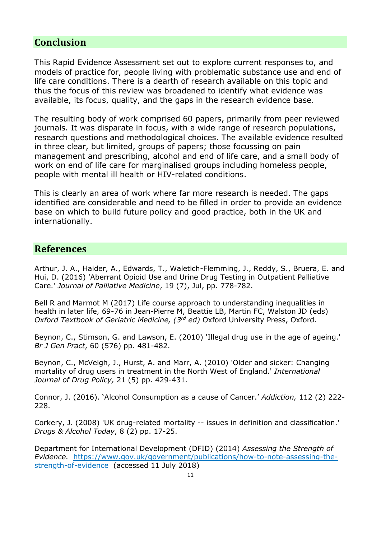## **Conclusion**

This Rapid Evidence Assessment set out to explore current responses to, and models of practice for, people living with problematic substance use and end of life care conditions. There is a dearth of research available on this topic and thus the focus of this review was broadened to identify what evidence was available, its focus, quality, and the gaps in the research evidence base.

The resulting body of work comprised 60 papers, primarily from peer reviewed journals. It was disparate in focus, with a wide range of research populations, research questions and methodological choices. The available evidence resulted in three clear, but limited, groups of papers; those focussing on pain management and prescribing, alcohol and end of life care, and a small body of work on end of life care for marginalised groups including homeless people, people with mental ill health or HIV-related conditions.

This is clearly an area of work where far more research is needed. The gaps identified are considerable and need to be filled in order to provide an evidence base on which to build future policy and good practice, both in the UK and internationally.

## **References**

Arthur, J. A., Haider, A., Edwards, T., Waletich-Flemming, J., Reddy, S., Bruera, E. and Hui, D. (2016) 'Aberrant Opioid Use and Urine Drug Testing in Outpatient Palliative Care.' *Journal of Palliative Medicine*, 19 (7), Jul, pp. 778-782.

Bell R and Marmot M (2017) Life course approach to understanding inequalities in health in later life, 69-76 in Jean-Pierre M, Beattie LB, Martin FC, Walston JD (eds) *Oxford Textbook of Geriatric Medicine, (3rd ed)* Oxford University Press, Oxford.

Beynon, C., Stimson, G. and Lawson, E. (2010) 'Illegal drug use in the age of ageing.' *Br J Gen Pract*, 60 (576) pp. 481-482.

Beynon, C., McVeigh, J., Hurst, A. and Marr, A. (2010) 'Older and sicker: Changing mortality of drug users in treatment in the North West of England.' *International Journal of Drug Policy,* 21 (5) pp. 429-431*.*

Connor, J. (2016). 'Alcohol Consumption as a cause of Cancer.' *Addiction,* 112 (2) 222- 228.

Corkery, J. (2008) 'UK drug-related mortality -- issues in definition and classification.' *Drugs & Alcohol Today*, 8 (2) pp. 17-25.

Department for International Development (DFID) (2014) *Assessing the Strength of Evidence.* [https://www.gov.uk/government/publications/how-to-note-assessing-the](https://www.gov.uk/government/publications/how-to-note-assessing-the-strength-of-evidence)[strength-of-evidence](https://www.gov.uk/government/publications/how-to-note-assessing-the-strength-of-evidence) (accessed 11 July 2018)